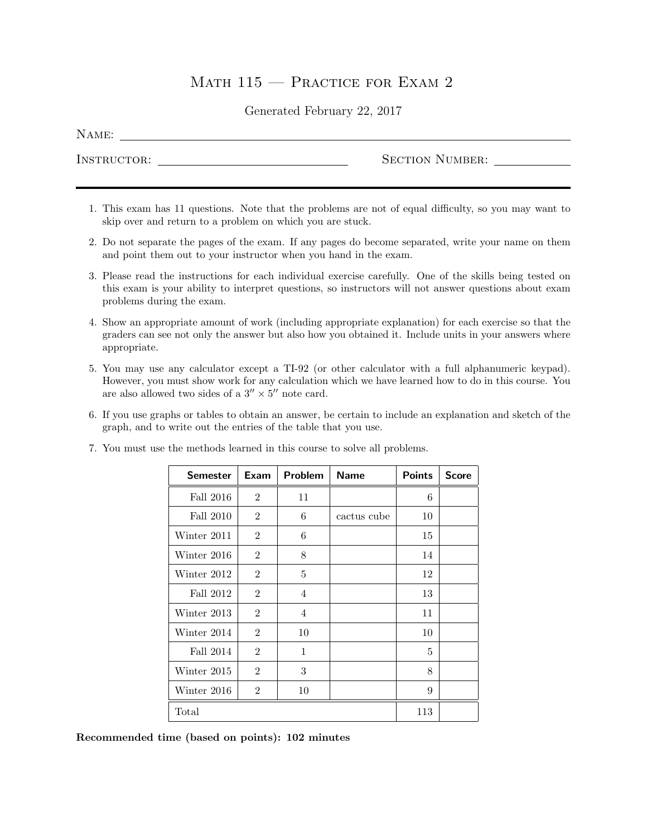# MATH  $115$  – Practice for Exam 2

### Generated February 22, 2017

| A M E. |  |
|--------|--|
|--------|--|

Instructor: Section Number:

- 1. This exam has 11 questions. Note that the problems are not of equal difficulty, so you may want to skip over and return to a problem on which you are stuck.
- 2. Do not separate the pages of the exam. If any pages do become separated, write your name on them and point them out to your instructor when you hand in the exam.
- 3. Please read the instructions for each individual exercise carefully. One of the skills being tested on this exam is your ability to interpret questions, so instructors will not answer questions about exam problems during the exam.
- 4. Show an appropriate amount of work (including appropriate explanation) for each exercise so that the graders can see not only the answer but also how you obtained it. Include units in your answers where appropriate.
- 5. You may use any calculator except a TI-92 (or other calculator with a full alphanumeric keypad). However, you must show work for any calculation which we have learned how to do in this course. You are also allowed two sides of a  $3'' \times 5''$  note card.
- 6. If you use graphs or tables to obtain an answer, be certain to include an explanation and sketch of the graph, and to write out the entries of the table that you use.

| Semester    | Exam           | Problem        | <b>Name</b> | <b>Points</b> | <b>Score</b> |
|-------------|----------------|----------------|-------------|---------------|--------------|
| Fall 2016   | $\overline{2}$ | 11             |             | 6             |              |
| Fall 2010   | $\overline{2}$ | 6              | cactus cube | 10            |              |
| Winter 2011 | $\overline{2}$ | 6              |             | 15            |              |
| Winter 2016 | $\overline{2}$ | 8              |             | 14            |              |
| Winter 2012 | $\overline{2}$ | 5              |             | 12            |              |
| Fall 2012   | $\overline{2}$ | $\overline{4}$ |             | 13            |              |
| Winter 2013 | $\overline{2}$ | $\overline{4}$ |             | 11            |              |
| Winter 2014 | $\overline{2}$ | 10             |             | 10            |              |
| Fall 2014   | $\overline{2}$ | $\mathbf{1}$   |             | 5             |              |
| Winter 2015 | $\overline{2}$ | 3              |             | 8             |              |
| Winter 2016 | $\overline{2}$ | 10             |             | 9             |              |
| Total       |                |                |             | 113           |              |

7. You must use the methods learned in this course to solve all problems.

Recommended time (based on points): 102 minutes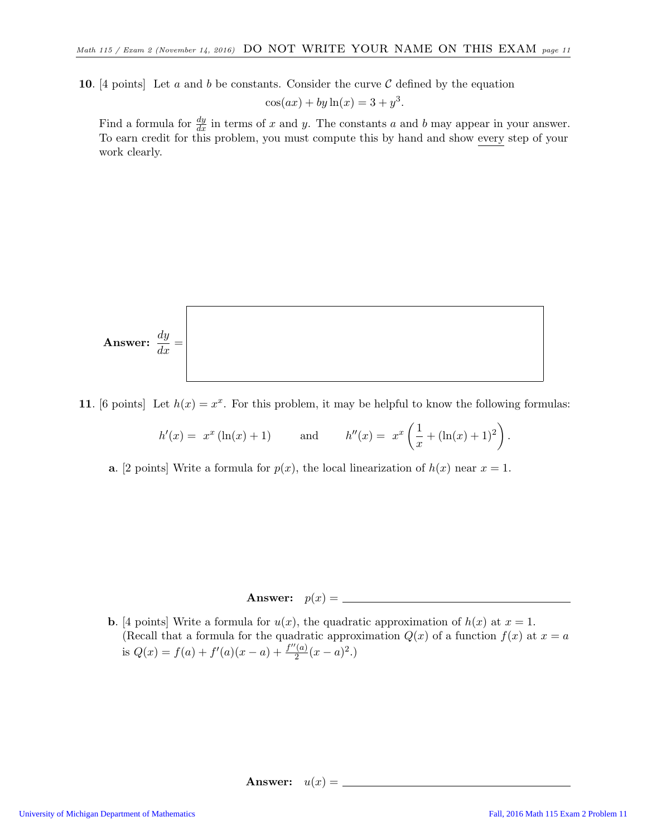10. [4 points] Let a and b be constants. Consider the curve  $\mathcal C$  defined by the equation

$$
\cos(ax) + by \ln(x) = 3 + y^3.
$$

Find a formula for  $\frac{dy}{dx}$  in terms of x and y. The constants a and b may appear in your answer. To earn credit for this problem, you must compute this by hand and show every step of your work clearly.

Answer: 
$$
\frac{dy}{dx} =
$$

11. [6 points] Let  $h(x) = x^x$ . For this problem, it may be helpful to know the following formulas:

$$
h'(x) = x^x (\ln(x) + 1)
$$
 and  $h''(x) = x^x \left(\frac{1}{x} + (\ln(x) + 1)^2\right)$ .

**a.** [2 points] Write a formula for  $p(x)$ , the local linearization of  $h(x)$  near  $x = 1$ .

# Answer: p(x) =

**b.** [4 points] Write a formula for  $u(x)$ , the quadratic approximation of  $h(x)$  at  $x = 1$ . (Recall that a formula for the quadratic approximation  $Q(x)$  of a function  $f(x)$  at  $x = a$ is  $Q(x) = f(a) + f'(a)(x - a) + \frac{f''(a)}{2}$  $rac{(a)}{2}(x-a)^2.$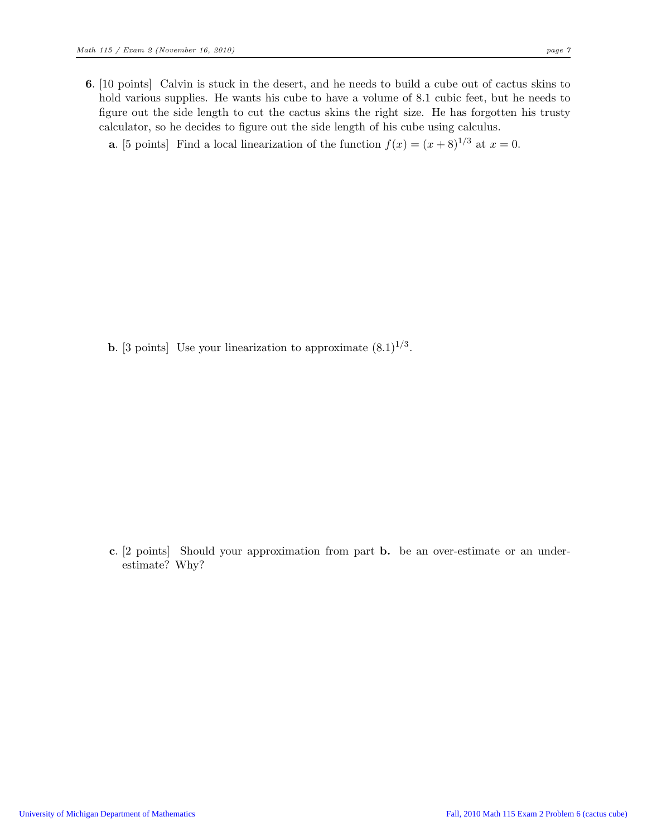6. [10 points] Calvin is stuck in the desert, and he needs to build a cube out of cactus skins to hold various supplies. He wants his cube to have a volume of 8.1 cubic feet, but he needs to figure out the side length to cut the cactus skins the right size. He has forgotten his trusty calculator, so he decides to figure out the side length of his cube using calculus.

**a.** [5 points] Find a local linearization of the function  $f(x) = (x+8)^{1/3}$  at  $x = 0$ .

**b.** [3 points] Use your linearization to approximate  $(8.1)^{1/3}$ .

c. [2 points] Should your approximation from part b. be an over-estimate or an underestimate? Why?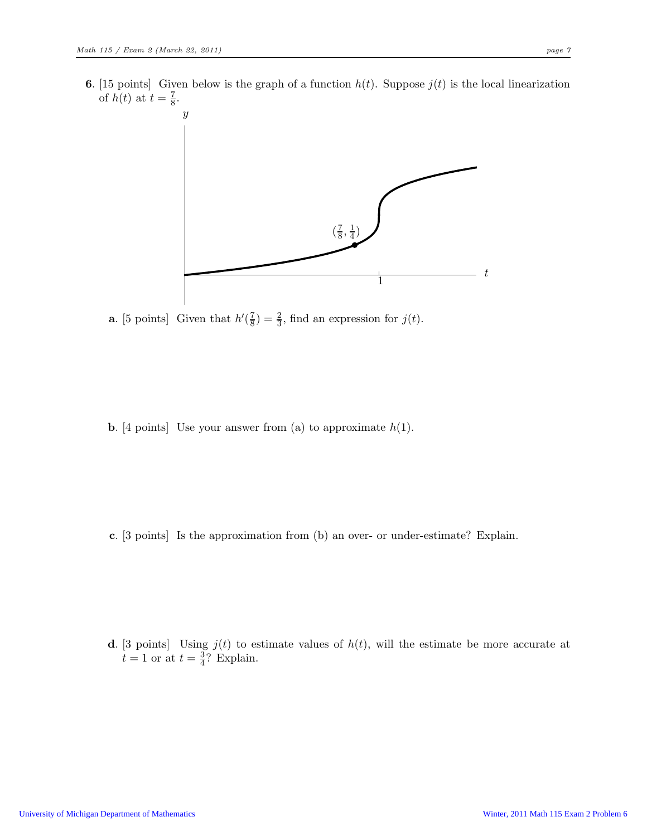**6.** [15 points] Given below is the graph of a function  $h(t)$ . Suppose  $j(t)$  is the local linearization of  $h(t)$  at  $t = \frac{7}{8}$  $\frac{7}{8}$ .



**a.** [5 points] Given that  $h'(\frac{7}{8})$  $(\frac{7}{8}) = \frac{2}{3}$ , find an expression for  $j(t)$ .

**b.** [4 points] Use your answer from (a) to approximate  $h(1)$ .

c. [3 points] Is the approximation from (b) an over- or under-estimate? Explain.

d. [3 points] Using  $j(t)$  to estimate values of  $h(t)$ , will the estimate be more accurate at  $t=1$  or at  $t=\frac{3}{4}$  $\frac{3}{4}$ ? Explain.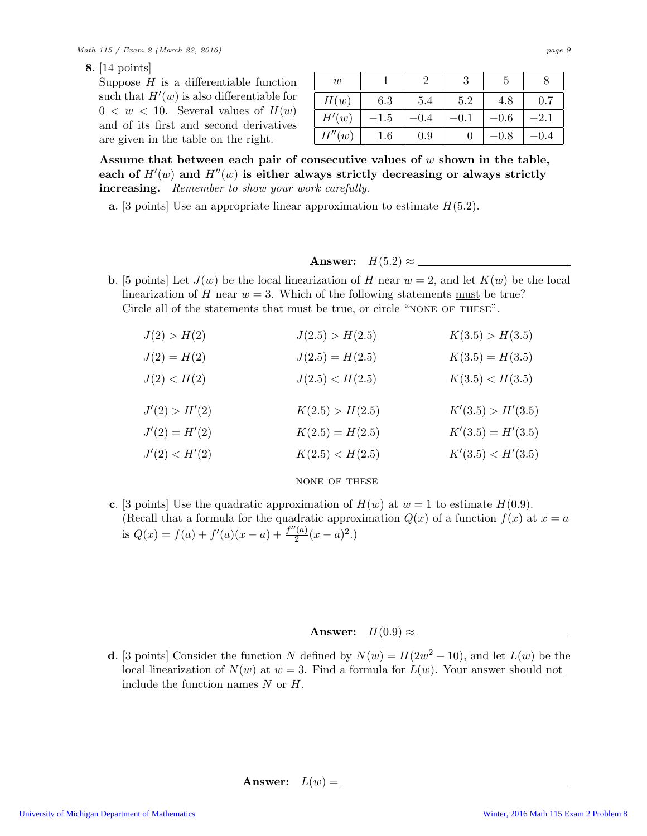8. [14 points]

Suppose  $H$  is a differentiable function such that  $H'(w)$  is also differentiable for  $0 \lt w \lt 10$ . Several values of  $H(w)$ and of its first and second derivatives are given in the table on the right.

| $\boldsymbol{w}$ |         |        |        |           |        |
|------------------|---------|--------|--------|-----------|--------|
| H(w)             | 6.3     | 5.4    | 5.2    | 4.8       | 0.7    |
| H'(w)            | $-1.5$  | $-0.4$ | $-0.1$ | $-0.6$    | $-2.1$ |
| H''(w)           | $1.6\,$ | 0.9    |        | $^{-0.8}$ | -0.4   |

Assume that between each pair of consecutive values of  $w$  shown in the table, each of  $H'(w)$  and  $H''(w)$  is either always strictly decreasing or always strictly increasing. Remember to show your work carefully.

**a.** [3 points] Use an appropriate linear approximation to estimate  $H(5.2)$ .

Answer: H(5.2) ≈

**b.** [5 points] Let  $J(w)$  be the local linearization of H near  $w = 2$ , and let  $K(w)$  be the local linearization of H near  $w = 3$ . Which of the following statements <u>must</u> be true? Circle all of the statements that must be true, or circle "NONE OF THESE".

| K(3.5) > H(3.5)     |
|---------------------|
| $K(3.5) = H(3.5)$   |
| K(3.5) < H(3.5)     |
|                     |
|                     |
| K'(3.5) > H'(3.5)   |
| $K'(3.5) = H'(3.5)$ |
|                     |

#### none of these

c. [3 points] Use the quadratic approximation of  $H(w)$  at  $w = 1$  to estimate  $H(0.9)$ . (Recall that a formula for the quadratic approximation  $Q(x)$  of a function  $f(x)$  at  $x = a$ is  $Q(x) = f(a) + f'(a)(x - a) + \frac{f''(a)}{2}$  $\frac{2}{2}(x-a)^2$ .)

## Answer: H(0.9) ≈

**d**. [3 points] Consider the function N defined by  $N(w) = H(2w^2 - 10)$ , and let  $L(w)$  be the local linearization of  $N(w)$  at  $w = 3$ . Find a formula for  $L(w)$ . Your answer should not include the function names  $N$  or  $H$ .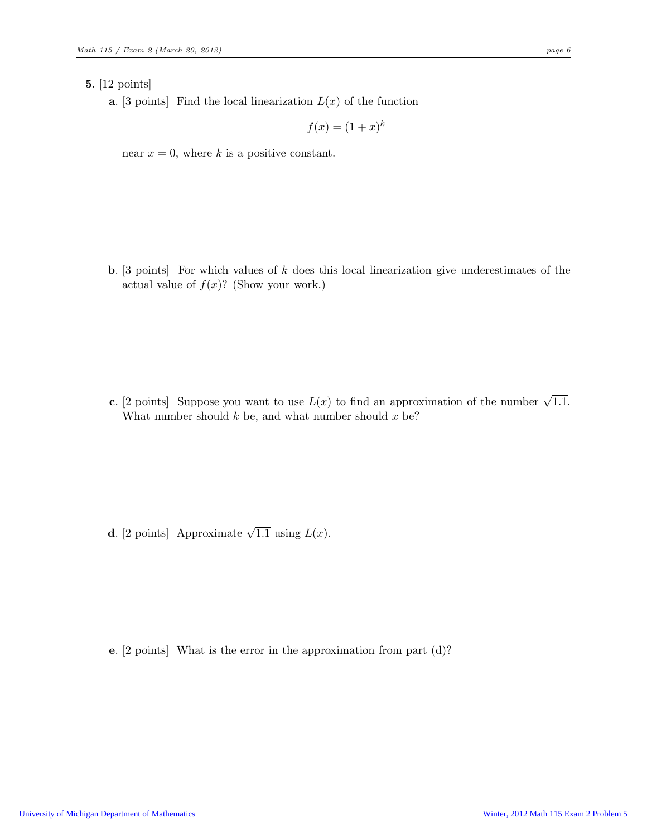#### 5. [12 points]

**a.** [3 points] Find the local linearization  $L(x)$  of the function

$$
f(x) = (1+x)^k
$$

near  $x = 0$ , where k is a positive constant.

**b.** [3 points] For which values of  $k$  does this local linearization give underestimates of the actual value of  $f(x)$ ? (Show your work.)

c. [2 points] Suppose you want to use  $L(x)$  to find an approximation of the number  $\sqrt{1.1}$ . What number should  $k$  be, and what number should  $x$  be?

**d**. [2 points] Approximate  $\sqrt{1.1}$  using  $L(x)$ .

e. [2 points] What is the error in the approximation from part (d)?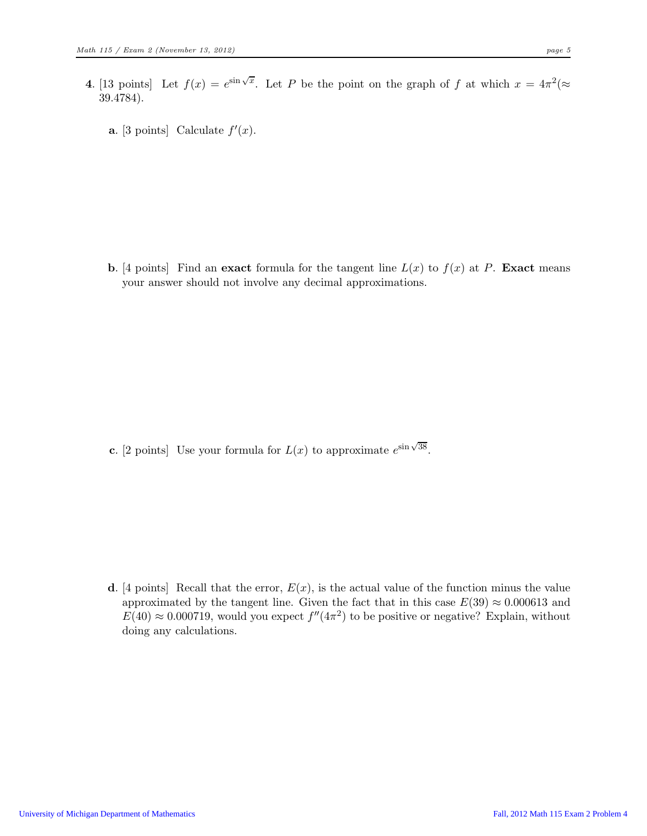- 4. [13 points] Let  $f(x) = e^{\sin \sqrt{x}}$ . Let P be the point on the graph of f at which  $x = 4\pi^2 (\approx$ 39.4784).
	- **a.** [3 points] Calculate  $f'(x)$ .

**b.** [4 points] Find an exact formula for the tangent line  $L(x)$  to  $f(x)$  at P. Exact means your answer should not involve any decimal approximations.

**c.** [2 points] Use your formula for  $L(x)$  to approximate  $e^{\sin \sqrt{38}}$ .

d. [4 points] Recall that the error,  $E(x)$ , is the actual value of the function minus the value approximated by the tangent line. Given the fact that in this case  $E(39) \approx 0.000613$  and  $E(40) \approx 0.000719$ , would you expect  $f''(4\pi^2)$  to be positive or negative? Explain, without doing any calculations.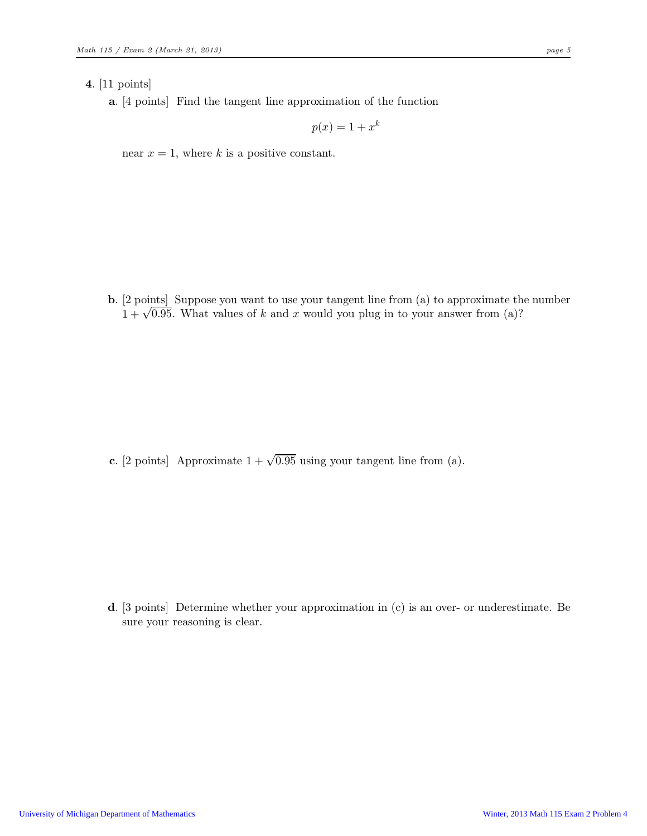### 4. [11 points]

a. [4 points] Find the tangent line approximation of the function

$$
p(x) = 1 + x^k
$$

near  $x = 1$ , where k is a positive constant.

b. [2 points] Suppose you want to use your tangent line from (a) to approximate the number  $1 + \sqrt{0.95}$ . What values of k and x would you plug in to your answer from (a)?

c. [2 points] Approximate  $1 + \sqrt{0.95}$  using your tangent line from (a).

d. [3 points] Determine whether your approximation in (c) is an over- or underestimate. Be sure your reasoning is clear.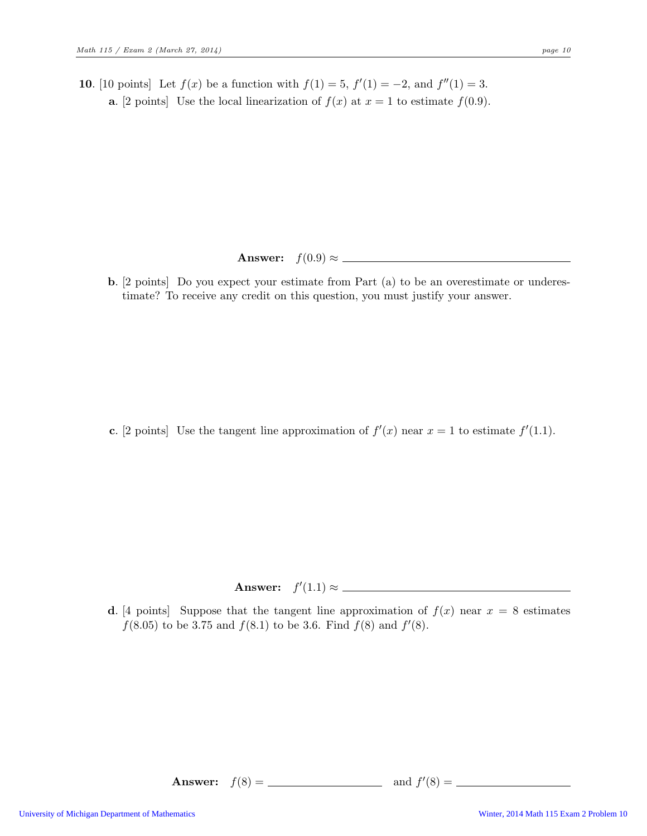10. [10 points] Let  $f(x)$  be a function with  $f(1) = 5$ ,  $f'(1) = -2$ , and  $f''(1) = 3$ . **a.** [2 points] Use the local linearization of  $f(x)$  at  $x = 1$  to estimate  $f(0.9)$ .

# Answer: f(0.9) ≈

b. [2 points] Do you expect your estimate from Part (a) to be an overestimate or underestimate? To receive any credit on this question, you must justify your answer.

c. [2 points] Use the tangent line approximation of  $f'(x)$  near  $x = 1$  to estimate  $f'(1.1)$ .

Answer:  $f'(1.1) \approx$ 

d. [4 points] Suppose that the tangent line approximation of  $f(x)$  near  $x = 8$  estimates  $f(8.05)$  to be 3.75 and  $f(8.1)$  to be 3.6. Find  $f(8)$  and  $f'(8)$ .

Answer: f(8) = and f ′ (8) =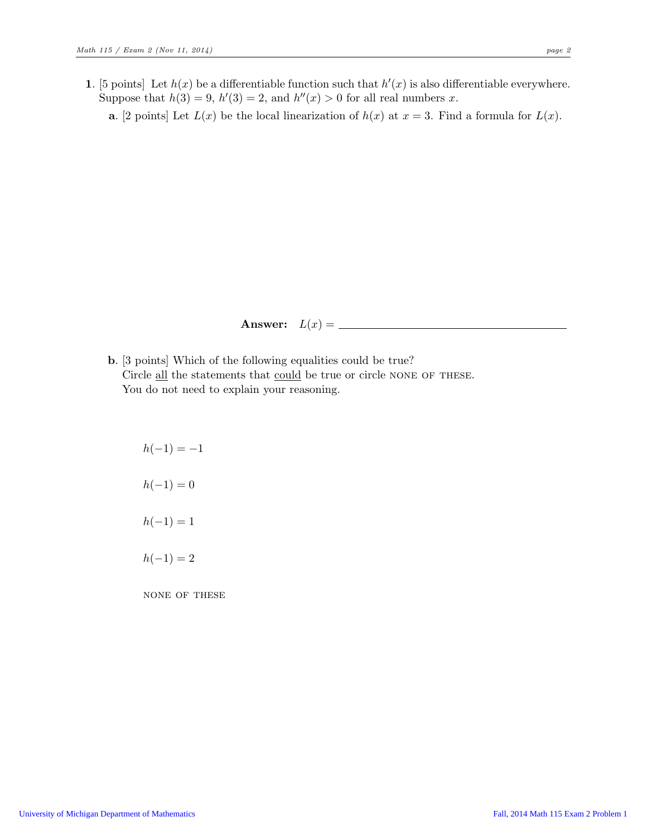**a.** [2 points] Let  $L(x)$  be the local linearization of  $h(x)$  at  $x = 3$ . Find a formula for  $L(x)$ .

Answer: 
$$
L(x) = \_
$$

- b. [3 points] Which of the following equalities could be true? Circle all the statements that could be true or circle NONE OF THESE. You do not need to explain your reasoning.
	- $h(-1) = -1$  $h(-1) = 0$  $h(-1) = 1$  $h(-1) = 2$

none of these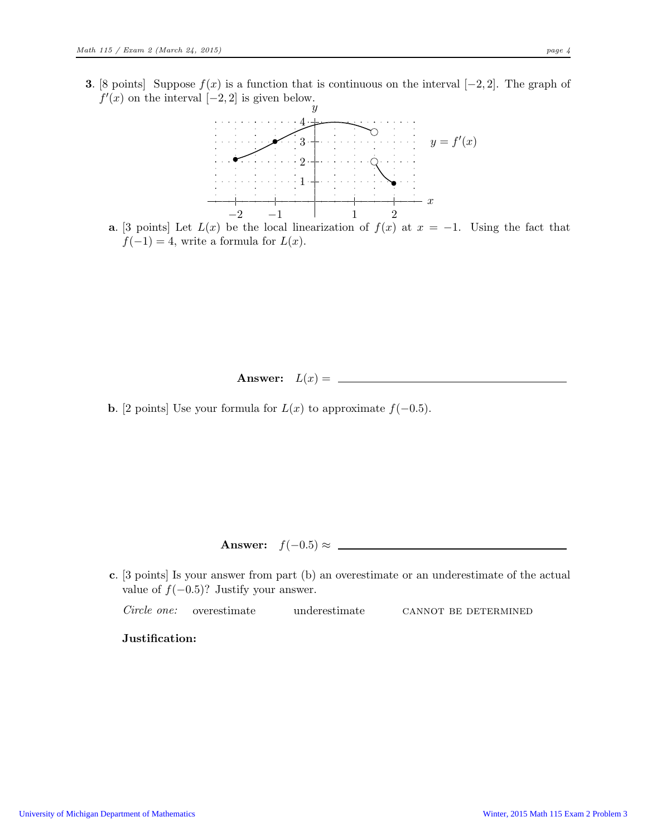**3.** [8 points] Suppose  $f(x)$  is a function that is continuous on the interval  $[-2, 2]$ . The graph of  $f'(x)$  on the interval  $[-2, 2]$  is given below.



a. [3 points] Let  $L(x)$  be the local linearization of  $f(x)$  at  $x = -1$ . Using the fact that  $f(-1) = 4$ , write a formula for  $L(x)$ .

Answer: L(x) =

**b.** [2 points] Use your formula for  $L(x)$  to approximate  $f(-0.5)$ .

Answer: f(−0.5) ≈

c. [3 points] Is your answer from part (b) an overestimate or an underestimate of the actual value of  $f(-0.5)$ ? Justify your answer.

Circle one: overestimate underestimate CANNOT BE DETERMINED

Justification: